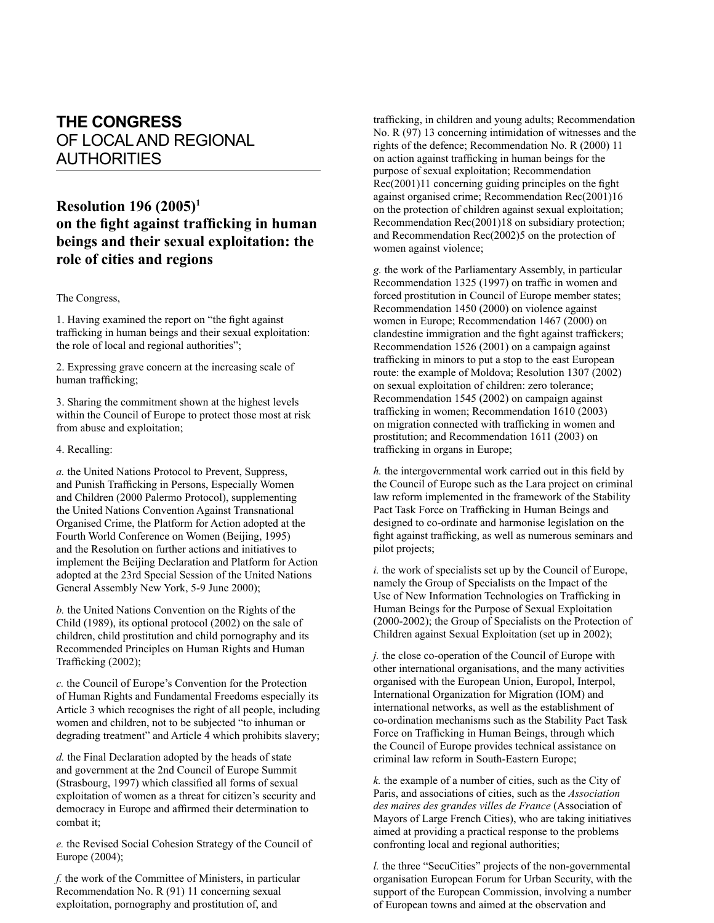# **THE CONGRESS** OF LOCAL AND REGIONAL AUTHORITIES

# **Resolution 196 (2005)<sup>1</sup>** on the fight against trafficking in human **beings and their sexual exploitation: the role of cities and regions**

#### The Congress,

1. Having examined the report on "the fight against" trafficking in human beings and their sexual exploitation: the role of local and regional authorities";

2. Expressing grave concern at the increasing scale of human trafficking;

3. Sharing the commitment shown at the highest levels within the Council of Europe to protect those most at risk from abuse and exploitation;

## 4. Recalling:

*a.* the United Nations Protocol to Prevent, Suppress, and Punish Trafficking in Persons, Especially Women and Children (2000 Palermo Protocol), supplementing the United Nations Convention Against Transnational Organised Crime, the Platform for Action adopted at the Fourth World Conference on Women (Beijing, 1995) and the Resolution on further actions and initiatives to implement the Beijing Declaration and Platform for Action adopted at the 23rd Special Session of the United Nations General Assembly New York, 5-9 June 2000);

*b.* the United Nations Convention on the Rights of the Child (1989), its optional protocol (2002) on the sale of children, child prostitution and child pornography and its Recommended Principles on Human Rights and Human Trafficking  $(2002)$ ;

*c.* the Council of Europe's Convention for the Protection of Human Rights and Fundamental Freedoms especially its Article 3 which recognises the right of all people, including women and children, not to be subjected "to inhuman or degrading treatment" and Article 4 which prohibits slavery;

*d.* the Final Declaration adopted by the heads of state and government at the 2nd Council of Europe Summit (Strasbourg, 1997) which classified all forms of sexual exploitation of women as a threat for citizen's security and democracy in Europe and affirmed their determination to combat it;

*e.* the Revised Social Cohesion Strategy of the Council of Europe (2004);

*f.* the work of the Committee of Ministers, in particular Recommendation No. R (91) 11 concerning sexual exploitation, pornography and prostitution of, and

trafficking, in children and young adults; Recommendation No. R (97) 13 concerning intimidation of witnesses and the rights of the defence; Recommendation No. R (2000) 11 on action against trafficking in human beings for the purpose of sexual exploitation; Recommendation  $Rec(2001)11$  concerning guiding principles on the fight against organised crime; Recommendation Rec(2001)16 on the protection of children against sexual exploitation; Recommendation Rec(2001)18 on subsidiary protection; and Recommendation Rec(2002)5 on the protection of women against violence;

*g.* the work of the Parliamentary Assembly, in particular Recommendation 1325 (1997) on traffic in women and forced prostitution in Council of Europe member states; Recommendation 1450 (2000) on violence against women in Europe; Recommendation 1467 (2000) on clandestine immigration and the fight against traffickers; Recommendation 1526 (2001) on a campaign against trafficking in minors to put a stop to the east European route: the example of Moldova; Resolution 1307 (2002) on sexual exploitation of children: zero tolerance; Recommendation 1545 (2002) on campaign against trafficking in women; Recommendation 1610 (2003) on migration connected with trafficking in women and prostitution; and Recommendation 1611 (2003) on trafficking in organs in Europe;

 $h$ , the intergovernmental work carried out in this field by the Council of Europe such as the Lara project on criminal law reform implemented in the framework of the Stability Pact Task Force on Trafficking in Human Beings and designed to co-ordinate and harmonise legislation on the fight against trafficking, as well as numerous seminars and pilot projects;

*i.* the work of specialists set up by the Council of Europe, namely the Group of Specialists on the Impact of the Use of New Information Technologies on Trafficking in Human Beings for the Purpose of Sexual Exploitation (2000-2002); the Group of Specialists on the Protection of Children against Sexual Exploitation (set up in 2002);

*j.* the close co-operation of the Council of Europe with other international organisations, and the many activities organised with the European Union, Europol, Interpol, International Organization for Migration (IOM) and international networks, as well as the establishment of co-ordination mechanisms such as the Stability Pact Task Force on Trafficking in Human Beings, through which the Council of Europe provides technical assistance on criminal law reform in South-Eastern Europe;

*k.* the example of a number of cities, such as the City of Paris, and associations of cities, such as the *Association des maires des grandes villes de France* (Association of Mayors of Large French Cities), who are taking initiatives aimed at providing a practical response to the problems confronting local and regional authorities;

*l.* the three "SecuCities" projects of the non-governmental organisation European Forum for Urban Security, with the support of the European Commission, involving a number of European towns and aimed at the observation and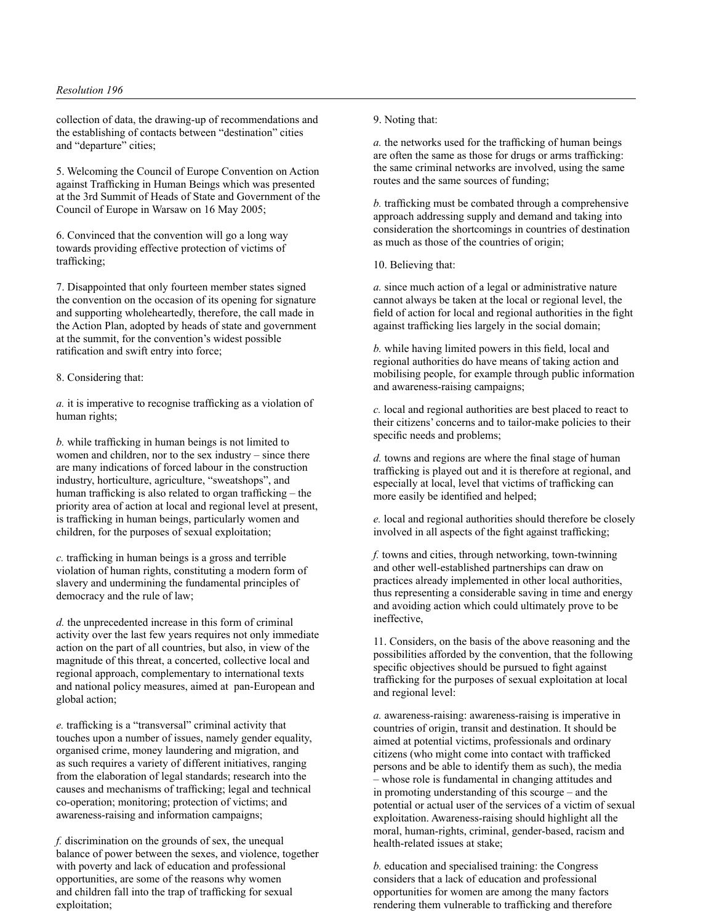#### *Resolution 196*

collection of data, the drawing-up of recommendations and the establishing of contacts between "destination" cities and "departure" cities;

5. Welcoming the Council of Europe Convention on Action against Trafficking in Human Beings which was presented at the 3rd Summit of Heads of State and Government of the Council of Europe in Warsaw on 16 May 2005;

6. Convinced that the convention will go a long way towards providing effective protection of victims of trafficking;

7. Disappointed that only fourteen member states signed the convention on the occasion of its opening for signature and supporting wholeheartedly, therefore, the call made in the Action Plan, adopted by heads of state and government at the summit, for the convention's widest possible ratification and swift entry into force;

#### 8. Considering that:

*a*. it is imperative to recognise trafficking as a violation of human rights;

*b*. while trafficking in human beings is not limited to women and children, nor to the sex industry – since there are many indications of forced labour in the construction industry, horticulture, agriculture, "sweatshops", and human trafficking is also related to organ trafficking – the priority area of action at local and regional level at present, is trafficking in human beings, particularly women and children, for the purposes of sexual exploitation;

*c.* trafficking in human beings is a gross and terrible violation of human rights, constituting a modern form of slavery and undermining the fundamental principles of democracy and the rule of law;

*d.* the unprecedented increase in this form of criminal activity over the last few years requires not only immediate action on the part of all countries, but also, in view of the magnitude of this threat, a concerted, collective local and regional approach, complementary to international texts and national policy measures, aimed at pan-European and global action;

*e.* trafficking is a "transversal" criminal activity that touches upon a number of issues, namely gender equality, organised crime, money laundering and migration, and as such requires a variety of different initiatives, ranging from the elaboration of legal standards; research into the causes and mechanisms of trafficking; legal and technical co-operation; monitoring; protection of victims; and awareness-raising and information campaigns;

*f.* discrimination on the grounds of sex, the unequal balance of power between the sexes, and violence, together with poverty and lack of education and professional opportunities, are some of the reasons why women and children fall into the trap of trafficking for sexual exploitation;

#### 9. Noting that:

*a*. the networks used for the trafficking of human beings are often the same as those for drugs or arms trafficking: the same criminal networks are involved, using the same routes and the same sources of funding;

*b*. trafficking must be combated through a comprehensive approach addressing supply and demand and taking into consideration the shortcomings in countries of destination as much as those of the countries of origin;

10. Believing that:

*a.* since much action of a legal or administrative nature cannot always be taken at the local or regional level, the field of action for local and regional authorities in the fight against trafficking lies largely in the social domain;

*b*. while having limited powers in this field, local and regional authorities do have means of taking action and mobilising people, for example through public information and awareness-raising campaigns;

*c.* local and regional authorities are best placed to react to their citizens' concerns and to tailor-make policies to their specific needs and problems;

*d*. towns and regions are where the final stage of human trafficking is played out and it is therefore at regional, and especially at local, level that victims of trafficking can more easily be identified and helped;

*e.* local and regional authorities should therefore be closely involved in all aspects of the fight against trafficking;

*f.* towns and cities, through networking, town-twinning and other well-established partnerships can draw on practices already implemented in other local authorities, thus representing a considerable saving in time and energy and avoiding action which could ultimately prove to be ineffective,

11. Considers, on the basis of the above reasoning and the possibilities afforded by the convention, that the following specific objectives should be pursued to fight against trafficking for the purposes of sexual exploitation at local and regional level:

*a.* awareness-raising: awareness-raising is imperative in countries of origin, transit and destination. It should be aimed at potential victims, professionals and ordinary citizens (who might come into contact with trafficked persons and be able to identify them as such), the media – whose role is fundamental in changing attitudes and in promoting understanding of this scourge – and the potential or actual user of the services of a victim of sexual exploitation. Awareness-raising should highlight all the moral, human-rights, criminal, gender-based, racism and health-related issues at stake;

*b.* education and specialised training: the Congress considers that a lack of education and professional opportunities for women are among the many factors rendering them vulnerable to trafficking and therefore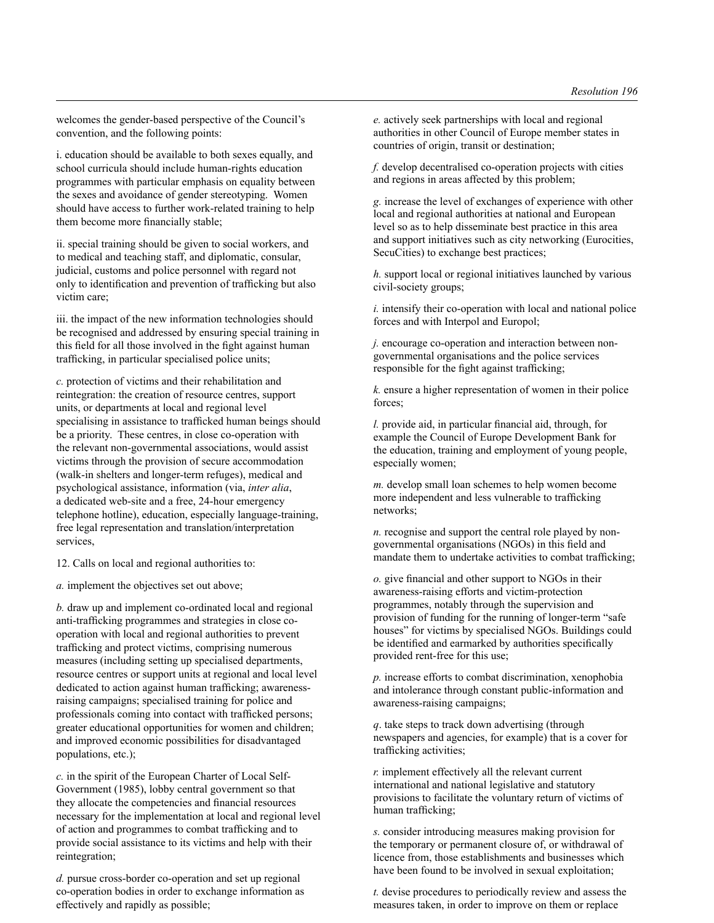welcomes the gender-based perspective of the Council's convention, and the following points:

i. education should be available to both sexes equally, and school curricula should include human-rights education programmes with particular emphasis on equality between the sexes and avoidance of gender stereotyping. Women should have access to further work-related training to help them become more financially stable;

ii. special training should be given to social workers, and to medical and teaching staff, and diplomatic, consular, judicial, customs and police personnel with regard not only to identification and prevention of trafficking but also victim care;

iii. the impact of the new information technologies should be recognised and addressed by ensuring special training in this field for all those involved in the fight against human trafficking, in particular specialised police units;

*c.* protection of victims and their rehabilitation and reintegration: the creation of resource centres, support units, or departments at local and regional level specialising in assistance to trafficked human beings should be a priority. These centres, in close co-operation with the relevant non-governmental associations, would assist victims through the provision of secure accommodation (walk-in shelters and longer-term refuges), medical and psychological assistance, information (via, *inter alia*, a dedicated web-site and a free, 24-hour emergency telephone hotline), education, especially language-training, free legal representation and translation/interpretation services,

12. Calls on local and regional authorities to:

*a.* implement the objectives set out above;

*b.* draw up and implement co-ordinated local and regional anti-trafficking programmes and strategies in close cooperation with local and regional authorities to prevent trafficking and protect victims, comprising numerous measures (including setting up specialised departments, resource centres or support units at regional and local level dedicated to action against human trafficking; awarenessraising campaigns; specialised training for police and professionals coming into contact with trafficked persons; greater educational opportunities for women and children; and improved economic possibilities for disadvantaged populations, etc.);

*c.* in the spirit of the European Charter of Local Self-Government (1985), lobby central government so that they allocate the competencies and financial resources necessary for the implementation at local and regional level of action and programmes to combat trafficking and to provide social assistance to its victims and help with their reintegration;

*d.* pursue cross-border co-operation and set up regional co-operation bodies in order to exchange information as effectively and rapidly as possible;

*e.* actively seek partnerships with local and regional authorities in other Council of Europe member states in countries of origin, transit or destination;

*f.* develop decentralised co-operation projects with cities and regions in areas affected by this problem;

*g.* increase the level of exchanges of experience with other local and regional authorities at national and European level so as to help disseminate best practice in this area and support initiatives such as city networking (Eurocities, SecuCities) to exchange best practices;

*h.* support local or regional initiatives launched by various civil-society groups;

*i.* intensify their co-operation with local and national police forces and with Interpol and Europol;

*j.* encourage co-operation and interaction between nongovernmental organisations and the police services responsible for the fight against trafficking;

*k.* ensure a higher representation of women in their police forces;

*l.* provide aid, in particular financial aid, through, for example the Council of Europe Development Bank for the education, training and employment of young people, especially women;

*m.* develop small loan schemes to help women become more independent and less vulnerable to trafficking networks;

*n.* recognise and support the central role played by nongovernmental organisations (NGOs) in this field and mandate them to undertake activities to combat trafficking;

*o*. give financial and other support to NGOs in their awareness-raising efforts and victim-protection programmes, notably through the supervision and provision of funding for the running of longer-term "safe houses" for victims by specialised NGOs. Buildings could be identified and earmarked by authorities specifically provided rent-free for this use;

*p.* increase efforts to combat discrimination, xenophobia and intolerance through constant public-information and awareness-raising campaigns;

*q*. take steps to track down advertising (through newspapers and agencies, for example) that is a cover for trafficking activities;

*r.* implement effectively all the relevant current international and national legislative and statutory provisions to facilitate the voluntary return of victims of human trafficking;

*s.* consider introducing measures making provision for the temporary or permanent closure of, or withdrawal of licence from, those establishments and businesses which have been found to be involved in sexual exploitation;

*t.* devise procedures to periodically review and assess the measures taken, in order to improve on them or replace